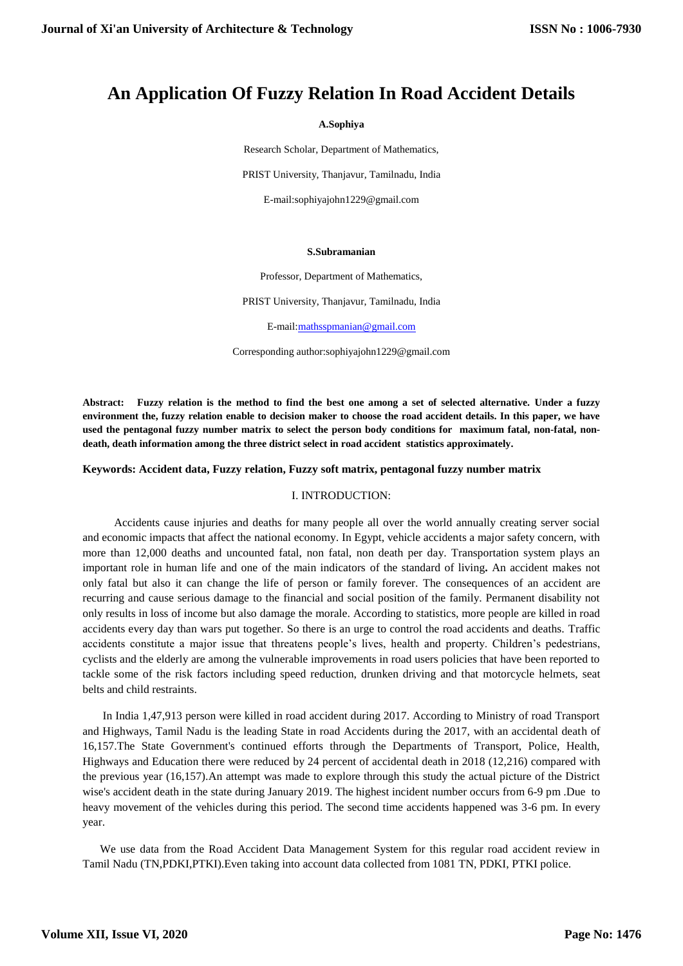# **An Application Of Fuzzy Relation In Road Accident Details**

#### **A.Sophiya**

Research Scholar, Department of Mathematics, PRIST University, Thanjavur, Tamilnadu, India

E-mail:sophiyajohn1229@gmail.com

#### **S.Subramanian**

Professor, Department of Mathematics,

PRIST University, Thanjavur, Tamilnadu, India

E-mail[:mathsspmanian@gmail.com](mailto:mathsspmanian@gmail.com)

Corresponding author:sophiyajohn1229@gmail.com

**Abstract: Fuzzy relation is the method to find the best one among a set of selected alternative. Under a fuzzy environment the, fuzzy relation enable to decision maker to choose the road accident details. In this paper, we have used the pentagonal fuzzy number matrix to select the person body conditions for maximum fatal, non-fatal, nondeath, death information among the three district select in road accident statistics approximately.** 

**Keywords: Accident data, Fuzzy relation, Fuzzy soft matrix, pentagonal fuzzy number matrix**

## I. INTRODUCTION:

 Accidents cause injuries and deaths for many people all over the world annually creating server social and economic impacts that affect the national economy. In Egypt, vehicle accidents a major safety concern, with more than 12,000 deaths and uncounted fatal, non fatal, non death per day. Transportation system plays an important role in human life and one of the main indicators of the standard of living**.** An accident makes not only fatal but also it can change the life of person or family forever. The consequences of an accident are recurring and cause serious damage to the financial and social position of the family. Permanent disability not only results in loss of income but also damage the morale. According to statistics, more people are killed in road accidents every day than wars put together. So there is an urge to control the road accidents and deaths. Traffic accidents constitute a major issue that threatens people's lives, health and property. Children's pedestrians, cyclists and the elderly are among the vulnerable improvements in road users policies that have been reported to tackle some of the risk factors including speed reduction, drunken driving and that motorcycle helmets, seat belts and child restraints.

 In India 1,47,913 person were killed in road accident during 2017. According to Ministry of road Transport and Highways, Tamil Nadu is the leading State in road Accidents during the 2017, with an accidental death of 16,157.The State Government's continued efforts through the Departments of Transport, Police, Health, Highways and Education there were reduced by 24 percent of accidental death in 2018 (12,216) compared with the previous year (16,157).An attempt was made to explore through this study the actual picture of the District wise's accident death in the state during January 2019. The highest incident number occurs from 6-9 pm .Due to heavy movement of the vehicles during this period. The second time accidents happened was 3-6 pm. In every year.

 We use data from the Road Accident Data Management System for this regular road accident review in Tamil Nadu (TN,PDKI,PTKI).Even taking into account data collected from 1081 TN, PDKI, PTKI police.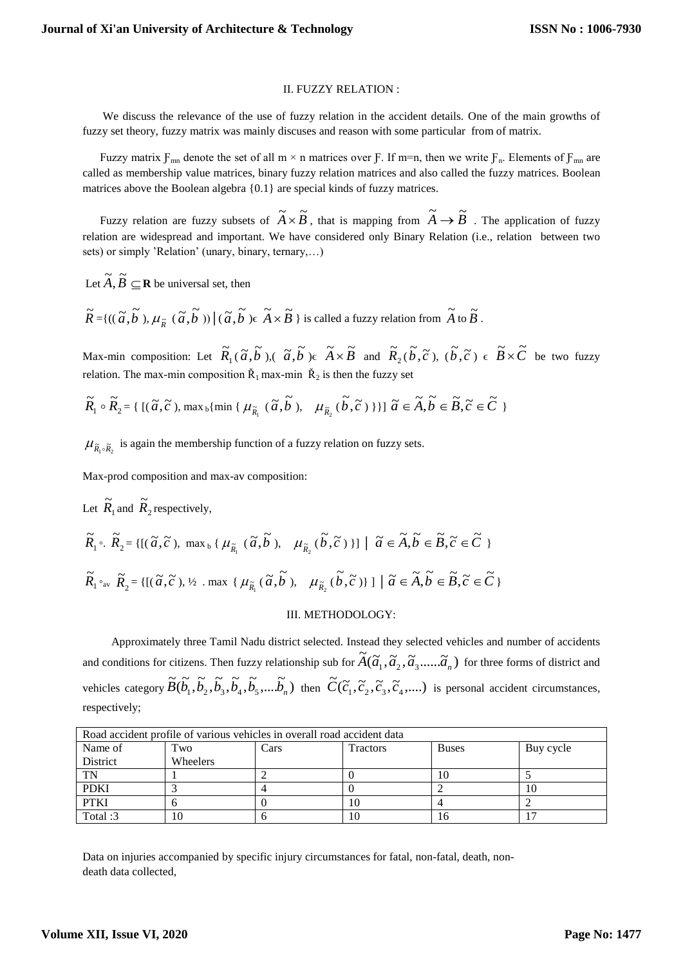## II. FUZZY RELATION :

 We discuss the relevance of the use of fuzzy relation in the accident details. One of the main growths of fuzzy set theory, fuzzy matrix was mainly discuses and reason with some particular from of matrix.

Fuzzy matrix  $F_{mn}$  denote the set of all m × n matrices over  $F$ . If m=n, then we write  $F_n$ . Elements of  $F_{mn}$  are called as membership value matrices, binary fuzzy relation matrices and also called the fuzzy matrices. Boolean matrices above the Boolean algebra {0.1} are special kinds of fuzzy matrices.

Fuzzy relation are fuzzy subsets of  $\widetilde{A} \times \widetilde{B}$ , that is mapping from  $\widetilde{A} \to \widetilde{B}$ . The application of fuzzy relation are widespread and important. We have considered only Binary Relation (i.e., relation between two sets) or simply 'Relation' (unary, binary, ternary,…)

Let  $\widetilde{A}, \widetilde{B} \subseteq \mathbf{R}$  be universal set, then

 $\widetilde{R} = \{((\widetilde{a}, \widetilde{b}'), \mu_{\widetilde{R}}(\widetilde{a}, \widetilde{b})) \mid (\widetilde{a}, \widetilde{b}) \in \widetilde{A} \times \widetilde{B}\}\)$  is called a fuzzy relation from  $\widetilde{A}$  to  $\widetilde{B}$ .

Max-min composition: Let  $R_1$  $\widetilde{R}_1(\widetilde{a}, \widetilde{b})$ ,  $(\widetilde{a}, \widetilde{b}) \in \widetilde{A} \times \widetilde{B}$  and  $\widetilde{R}_2$  $\widetilde{R}_2(\widetilde{b}, \widetilde{c})$ ,  $(\widetilde{b}, \widetilde{c}) \in \widetilde{B} \times \widetilde{C}$  be two fuzzy relation. The max-min composition  $\check{R}_1$  max-min  $\check{R}_2$  is then the fuzzy set

$$
\widetilde{R}_1 \circ \widetilde{R}_2 = \{ \left[ (\widetilde{a}, \widetilde{c}), \max_b \{ \min \{ \mu_{\widetilde{R}_1} \left( \widetilde{a}, \widetilde{b} \right), \mu_{\widetilde{R}_2} \left( \widetilde{b}, \widetilde{c} \right) \} \right] \right] \widetilde{a} \in \widetilde{A}, \widetilde{b} \in \widetilde{B}, \widetilde{c} \in \widetilde{C} \}
$$

 $\mu_{\tilde{R}_1 \circ \tilde{R}_2}$  is again the membership function of a fuzzy relation on fuzzy sets.

Max-prod composition and max-av composition:

Let 
$$
\widetilde{R}_1
$$
 and  $\widetilde{R}_2$  respectively,  
\n
$$
\widetilde{R}_1 \circ \widetilde{R}_2 = \{ [(\widetilde{a}, \widetilde{c}), \max_b \{ \mu_{\widetilde{R}_1} (\widetilde{a}, \widetilde{b}), \mu_{\widetilde{R}_2} (\widetilde{b}, \widetilde{c}) \} ] \mid \widetilde{a} \in \widetilde{A}, \widetilde{b} \in \widetilde{B}, \widetilde{c} \in \widetilde{C} \}
$$
\n
$$
\widetilde{R}_1 \circ_{\text{av}} \widetilde{R}_2 = \{ [(\widetilde{a}, \widetilde{c}), \frac{1}{2} \cdot \max_b \{ \mu_{\widetilde{R}_1} (\widetilde{a}, \widetilde{b}), \mu_{\widetilde{R}_2} (\widetilde{b}, \widetilde{c}) \} ] \mid \widetilde{a} \in \widetilde{A}, \widetilde{b} \in \widetilde{B}, \widetilde{c} \in \widetilde{C} \}
$$

#### III. METHODOLOGY:

 Approximately three Tamil Nadu district selected. Instead they selected vehicles and number of accidents and conditions for citizens. Then fuzzy relationship sub for  $\tilde{A}(\tilde{a}_1, \tilde{a}_2, \tilde{a}_3, \ldots, \tilde{a}_n)$  for three forms of district and vehicles category  $\widetilde{B}(\widetilde{b}_1, \widetilde{b}_2, \widetilde{b}_3, \widetilde{b}_4, \widetilde{b}_5, \ldots, \widetilde{b}_n)$  then  $\widetilde{C}(\widetilde{c}_1, \widetilde{c}_2, \widetilde{c}_3, \widetilde{c}_4, \ldots)$  is personal accident circumstances, respectively;

| Road accident profile of various vehicles in overall road accident data |                 |      |                 |              |           |
|-------------------------------------------------------------------------|-----------------|------|-----------------|--------------|-----------|
| Name of                                                                 | Two             | Cars | <b>Tractors</b> | <b>Buses</b> | Buy cycle |
| District                                                                | <b>Wheelers</b> |      |                 |              |           |
| TN                                                                      |                 |      |                 | 10           |           |
| <b>PDKI</b>                                                             |                 |      |                 |              | ΙU        |
| <b>PTKI</b>                                                             |                 |      |                 |              |           |
| Total:3                                                                 | 10              |      |                 | I b          |           |

Data on injuries accompanied by specific injury circumstances for fatal, non-fatal, death, nondeath data collected,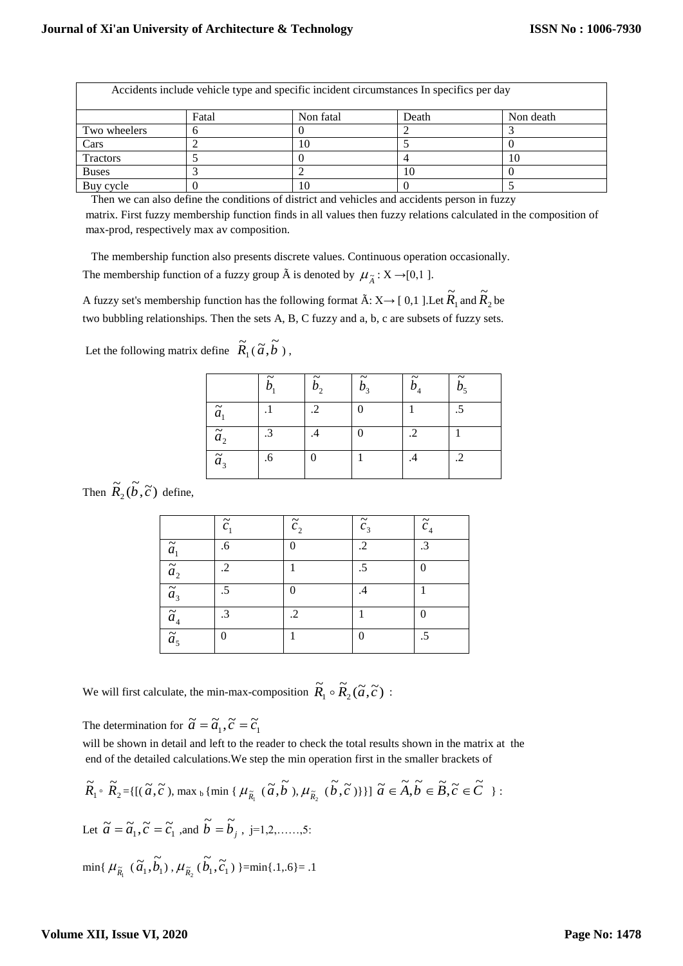| Accidents include vehicle type and specific incident circumstances In specifics per day |       |           |       |           |  |  |
|-----------------------------------------------------------------------------------------|-------|-----------|-------|-----------|--|--|
|                                                                                         | Fatal | Non fatal | Death | Non death |  |  |
| Two wheelers                                                                            |       |           |       |           |  |  |
| Cars                                                                                    |       | 10        |       |           |  |  |
| Tractors                                                                                |       |           |       | 10        |  |  |
| <b>Buses</b>                                                                            |       |           |       |           |  |  |
| Buy cycle                                                                               |       | 10        |       |           |  |  |

Then we can also define the conditions of district and vehicles and accidents person in fuzzy

matrix. First fuzzy membership function finds in all values then fuzzy relations calculated in the composition of max-prod, respectively max av composition.

The membership function also presents discrete values. Continuous operation occasionally. The membership function of a fuzzy group  $\hat{A}$  is denoted by  $\mu_{\tilde{A}} : X \rightarrow [0,1]$ .

A fuzzy set's membership function has the following format  $\tilde{A}$ : X $\rightarrow$  [ 0,1 ].Let  $R_1$  $\widetilde{R}_1$  and  $\widetilde{R}_2$  $\widetilde{R}_2$  be two bubbling relationships. Then the sets A, B, C fuzzy and a, b, c are subsets of fuzzy sets.

| Let the following matrix define $R_1(\tilde{a}, b)$ , |  |  |
|-------------------------------------------------------|--|--|
|-------------------------------------------------------|--|--|

|               | b,  | $\tilde{\phantom{a}}$<br>b, | $\tilde{\phantom{a}}$<br>b <sub>3</sub> | $b_{\scriptscriptstyle 4}$ | $\tilde{b}_5$ |
|---------------|-----|-----------------------------|-----------------------------------------|----------------------------|---------------|
| $\tilde{a}_1$ | . 1 | $\cdot$ .2                  | $\theta$                                |                            | .5            |
| $\tilde{a}_2$ | .3  |                             | 0                                       |                            |               |
| $\tilde{a}_3$ | .6  | $\theta$                    |                                         | .4                         | $\cdot$ .2    |

Then  $\widetilde{R}_2(\widetilde{b}, \widetilde{c})$  define,

|                              | $\widetilde{c}_1$ | $\tilde{c}_2$ | $\tilde{c}_3$ | $\widetilde{c}_4$ |
|------------------------------|-------------------|---------------|---------------|-------------------|
| $\widetilde{a}_1$            | .6                | $\Omega$      | $\cdot$       | .3                |
| $\tilde{a}_{2}$              | $\cdot$           |               | .5            | 0                 |
| $\overline{\tilde{a}_3}$     | .5                | $\Omega$      | .4            |                   |
| $\overline{\widetilde{a}_4}$ | $\cdot$ 3         | $\cdot$       |               | 0                 |
| $\overline{\tilde{a}_5}$     |                   |               |               | .5                |

We will first calculate, the min-max-composition  $\widetilde{R}_1 \circ \widetilde{R}_2(\widetilde{a}, \widetilde{c})$ :

The determination for  $\tilde{a} = \tilde{a}_1$ ,  $\tilde{c} = \tilde{c}_1$ 

will be shown in detail and left to the reader to check the total results shown in the matrix at the end of the detailed calculations.We step the min operation first in the smaller brackets of

$$
\widetilde{R}_1 \circ \widetilde{R}_2 = \{ [(\widetilde{a}, \widetilde{c}), \max_b \{ \min \{ \mu_{\widetilde{R}_1} (\widetilde{a}, \widetilde{b}), \mu_{\widetilde{R}_2} (\widetilde{b}, \widetilde{c}) \} \} ] \widetilde{a} \in \widetilde{A}, \widetilde{b} \in \widetilde{B}, \widetilde{c} \in \widetilde{C} \} :
$$
\nLet  $\widetilde{a} = \widetilde{a}_1, \widetilde{c} = \widetilde{c}_1$ , and  $\widetilde{b} = \widetilde{b}_j$ ,  $j = 1, 2, \ldots, 5$ :\n
$$
\min \{ \mu_{\widetilde{R}_1} (\widetilde{a}_1, \widetilde{b}_1), \mu_{\widetilde{R}_2} (\widetilde{b}_1, \widetilde{c}_1) \} = \min \{ .1, 6 \} = .1
$$

# **Volume XII, Issue VI, 2020**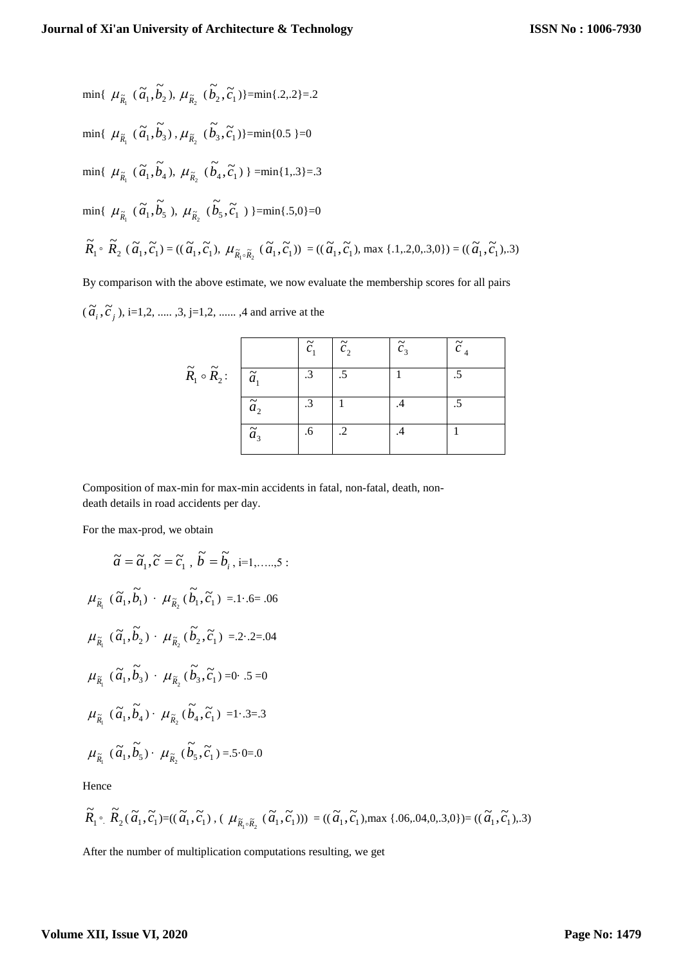$$
\begin{aligned}\n\min \{ \ \mu_{\tilde{R}_1} \ (\tilde{a}_1, \tilde{b}_2), \ \mu_{\tilde{R}_2} \ (\tilde{b}_2, \tilde{c}_1) \} = \min \{ .2, 2 \} = .2 \\
\\
\min \{ \ \mu_{\tilde{R}_1} \ (\tilde{a}_1, \tilde{b}_3), \ \mu_{\tilde{R}_2} \ (\tilde{b}_3, \tilde{c}_1) \} = \min \{ 0.5 \} = 0 \\
\\
\min \{ \ \mu_{\tilde{R}_1} \ (\tilde{a}_1, \tilde{b}_4), \ \mu_{\tilde{R}_2} \ (\tilde{b}_4, \tilde{c}_1) \} = \min \{ 1, 3 \} = .3 \\
\\
\min \{ \ \mu_{\tilde{R}_1} \ (\tilde{a}_1, \tilde{b}_5), \ \mu_{\tilde{R}_2} \ (\tilde{b}_5, \tilde{c}_1) \} = \min \{ .5, 0 \} = 0 \\
\\
\tilde{R}_1 \circ \tilde{R}_2 \ (\tilde{a}_1, \tilde{c}_1) = ((\tilde{a}_1, \tilde{c}_1), \ \mu_{\tilde{R}_1 \circ \tilde{R}_2} \ (\tilde{a}_1, \tilde{c}_1)) = ((\tilde{a}_1, \tilde{c}_1), \max \{ .1, .2, 0, .3, 0 \}) = ((\tilde{a}_1, \tilde{c}_1), .3)\n\end{aligned}\n\right.
$$

By comparison with the above estimate, we now evaluate the membership scores for all pairs

 $(\tilde{a}_i, \tilde{c}_j)$ , i=1,2, ..... ,3, j=1,2, ...... ,4 and arrive at the

|                                           |               | $\widetilde{c}_1$ | $\tilde{c}_1$ | $\tilde{c}_3$ | $\widetilde{c}_4$ |
|-------------------------------------------|---------------|-------------------|---------------|---------------|-------------------|
| $\widetilde{R}_1 \circ \widetilde{R}_2$ : | $\tilde{a}_1$ | $\cdot$ 3         |               |               |                   |
|                                           | $\tilde{a}_2$ | .3                |               | .4            |                   |
|                                           | $\tilde{a}_3$ | .6                | .2            | .4            |                   |

Composition of max-min for max-min accidents in fatal, non-fatal, death, nondeath details in road accidents per day.

For the max-prod, we obtain

$$
\tilde{a} = \tilde{a}_1, \tilde{c} = \tilde{c}_1, \tilde{b} = \tilde{b}_i, i=1,\dots,5:
$$
  
\n
$$
\mu_{\tilde{R}_1}(\tilde{a}_1, \tilde{b}_1) \cdot \mu_{\tilde{R}_2}(\tilde{b}_1, \tilde{c}_1) = 1.6 = .06
$$
  
\n
$$
\mu_{\tilde{R}_1}(\tilde{a}_1, \tilde{b}_2) \cdot \mu_{\tilde{R}_2}(\tilde{b}_2, \tilde{c}_1) = 2.2 - .2 = .04
$$
  
\n
$$
\mu_{\tilde{R}_1}(\tilde{a}_1, \tilde{b}_3) \cdot \mu_{\tilde{R}_2}(\tilde{b}_3, \tilde{c}_1) = 0.5 = 0
$$
  
\n
$$
\mu_{\tilde{R}_1}(\tilde{a}_1, \tilde{b}_4) \cdot \mu_{\tilde{R}_2}(\tilde{b}_4, \tilde{c}_1) = 1.3 = .3
$$
  
\n
$$
\mu_{\tilde{R}_1}(\tilde{a}_1, \tilde{b}_5) \cdot \mu_{\tilde{R}_2}(\tilde{b}_5, \tilde{c}_1) = .5.0 = .0
$$

Hence

$$
\widetilde{R}_1 \circ \widetilde{R}_2(\widetilde{\alpha}_1, \widetilde{c}_1) = ((\widetilde{\alpha}_1, \widetilde{c}_1), (\mu_{\widetilde{R}_1 \circ \widetilde{R}_2}(\widetilde{\alpha}_1, \widetilde{c}_1))) = ((\widetilde{\alpha}_1, \widetilde{c}_1), \max \{.06, 04, 0, .3, 0\}) = ((\widetilde{\alpha}_1, \widetilde{c}_1), .3)
$$

After the number of multiplication computations resulting, we get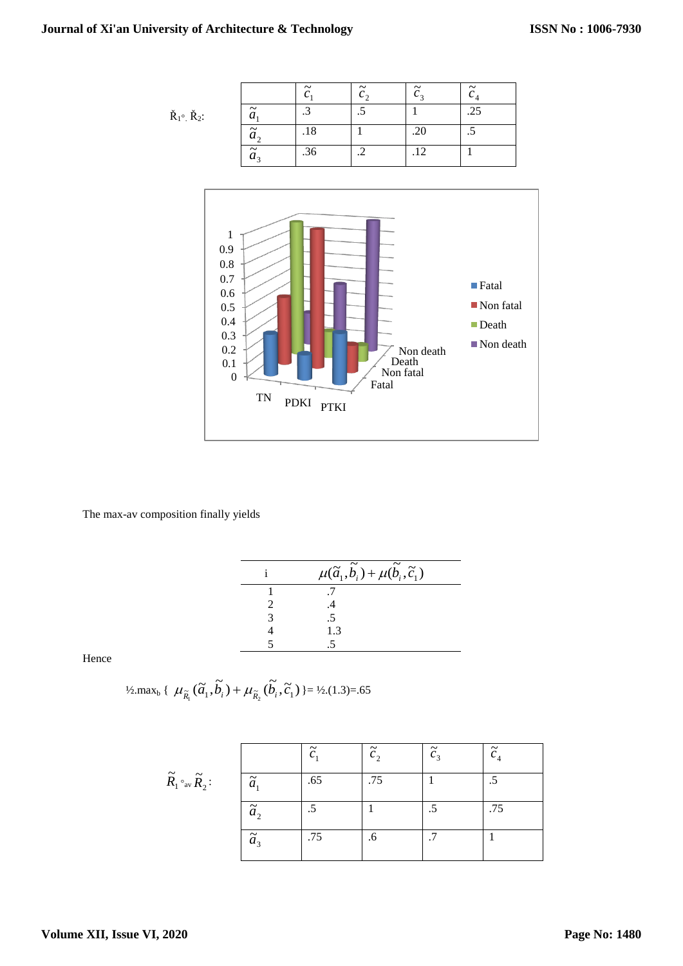| $\dot{R}_1$ <sup>o</sup> $\dot{R}_2$ : |  |
|----------------------------------------|--|
|                                        |  |

|                       | $\tilde{\phantom{a}}$ | $\tilde{\phantom{a}}$<br>$\mathcal{C}$ | $\tilde{\phantom{a}}$<br>c, | $\tilde{\phantom{a}}$ |
|-----------------------|-----------------------|----------------------------------------|-----------------------------|-----------------------|
| $\tilde{\phantom{a}}$ | -2                    |                                        |                             | .25                   |
| $\tilde{a}_1$         | .18                   |                                        | .20                         | ن                     |
| $\tilde{a}_{3}$       | .36                   |                                        | .12                         |                       |



The max-av composition finally yields

| $\mu(\widetilde{a}_1, \widetilde{b}_i) + \mu(\widetilde{b}_i, \widetilde{c}_1)$ |
|---------------------------------------------------------------------------------|
|                                                                                 |
|                                                                                 |
| .5                                                                              |
| 1.3                                                                             |
|                                                                                 |

Hence

$$
\frac{1}{2} \max_{b} \{ \mu_{\tilde{R}_{1}}(\tilde{a}_{1}, \tilde{b}_{i}) + \mu_{\tilde{R}_{2}}(\tilde{b}_{i}, \tilde{c}_{1}) \} = \frac{1}{2} \cdot (1.3) = .65
$$

|                                                                     |               | $\tilde{\phantom{a}}$<br>◠ | $\tilde{c}_1$ | $\tilde{c}_3$ | $\tilde{c}_4$ |
|---------------------------------------------------------------------|---------------|----------------------------|---------------|---------------|---------------|
| $\widetilde{R}_1\mathbin{{^\circ_{\mathrm{av}}}} \widetilde{R}_2$ : | $\tilde{a}_1$ | .65                        | .75           |               |               |
|                                                                     | $\tilde{a}_1$ |                            |               |               | .75           |
|                                                                     | $\tilde{a}_3$ | .75                        | .6            |               |               |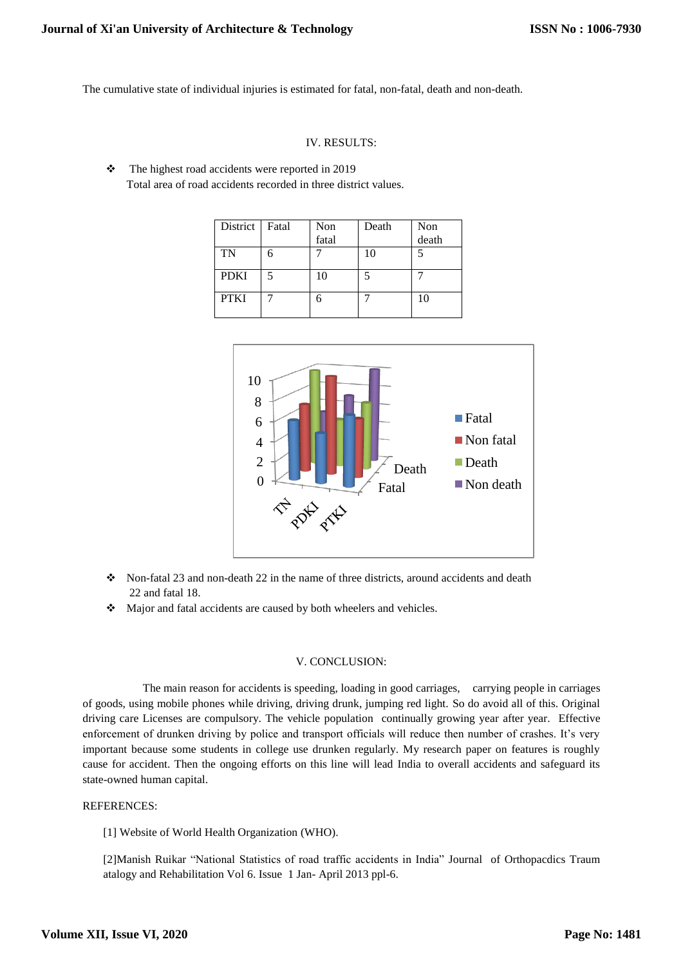The cumulative state of individual injuries is estimated for fatal, non-fatal, death and non-death.

## IV. RESULTS:

\* The highest road accidents were reported in 2019 Total area of road accidents recorded in three district values.

| District    | Fatal | Non<br>fatal | Death | Non<br>death |
|-------------|-------|--------------|-------|--------------|
| TN          |       |              | 10    |              |
| <b>PDKI</b> |       | 10           |       |              |
| <b>PTKI</b> |       |              |       | 10           |



- $\cdot$  Non-fatal 23 and non-death 22 in the name of three districts, around accidents and death 22 and fatal 18.
- Major and fatal accidents are caused by both wheelers and vehicles.

## V. CONCLUSION:

 The main reason for accidents is speeding, loading in good carriages, carrying people in carriages of goods, using mobile phones while driving, driving drunk, jumping red light. So do avoid all of this. Original driving care Licenses are compulsory. The vehicle population continually growing year after year. Effective enforcement of drunken driving by police and transport officials will reduce then number of crashes. It's very important because some students in college use drunken regularly. My research paper on features is roughly cause for accident. Then the ongoing efforts on this line will lead India to overall accidents and safeguard its state-owned human capital.

#### REFERENCES:

[1] Website of World Health Organization (WHO).

[2]Manish Ruikar "National Statistics of road traffic accidents in India" Journal of Orthopacdics Traum atalogy and Rehabilitation Vol 6. Issue 1 Jan- April 2013 ppl-6.